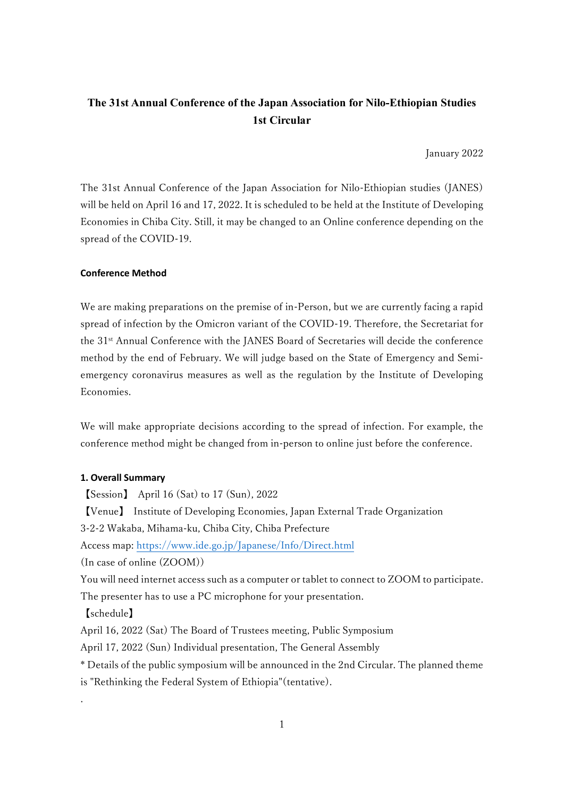# **The 31st Annual Conference of the Japan Association for Nilo-Ethiopian Studies 1st Circular**

January 2022

The 31st Annual Conference of the Japan Association for Nilo-Ethiopian studies (JANES) will be held on April 16 and 17, 2022. It is scheduled to be held at the Institute of Developing Economies in Chiba City. Still, it may be changed to an Online conference depending on the spread of the COVID-19.

#### **Conference Method**

We are making preparations on the premise of in-Person, but we are currently facing a rapid spread of infection by the Omicron variant of the COVID-19. Therefore, the Secretariat for the 31st Annual Conference with the JANES Board of Secretaries will decide the conference method by the end of February. We will judge based on the State of Emergency and Semiemergency coronavirus measures as well as the regulation by the Institute of Developing Economies.

We will make appropriate decisions according to the spread of infection. For example, the conference method might be changed from in-person to online just before the conference.

#### **1. Overall Summary**

【Session】 April 16 (Sat) to 17 (Sun), 2022 【Venue】 Institute of Developing Economies, Japan External Trade Organization 3-2-2 Wakaba, Mihama-ku, Chiba City, Chiba Prefecture Access map:<https://www.ide.go.jp/Japanese/Info/Direct.html> (In case of online (ZOOM)) You will need internet access such as a computer or tablet to connect to ZOOM to participate. The presenter has to use a PC microphone for your presentation. 【schedule】 April 16, 2022 (Sat) The Board of Trustees meeting, Public Symposium April 17, 2022 (Sun) Individual presentation, The General Assembly \* Details of the public symposium will be announced in the 2nd Circular. The planned theme is "Rethinking the Federal System of Ethiopia"(tentative). .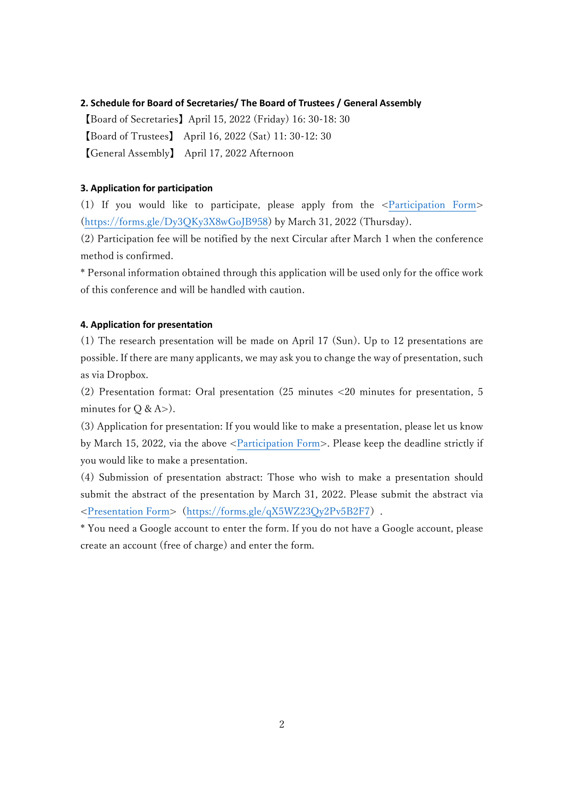#### **2. Schedule for Board of Secretaries/ The Board of Trustees / General Assembly**

【Board of Secretaries】April 15, 2022 (Friday) 16: 30-18: 30 【Board of Trustees】 April 16, 2022 (Sat) 11: 30-12: 30 【General Assembly】 April 17, 2022 Afternoon

#### **3. Application for participation**

(1) If you would like to participate, please apply from the [<Participation Form>](https://forms.gle/Dy3QKy3X8wGoJB958) [\(https://forms.gle/Dy3QKy3X8wGoJB958\)](https://forms.gle/Dy3QKy3X8wGoJB958) by March 31, 2022 (Thursday).

(2) Participation fee will be notified by the next Circular after March 1 when the conference method is confirmed.

\* Personal information obtained through this application will be used only for the office work of this conference and will be handled with caution.

#### **4. Application for presentation**

(1) The research presentation will be made on April 17 (Sun). Up to 12 presentations are possible. If there are many applicants, we may ask you to change the way of presentation, such as via Dropbox.

(2) Presentation format: Oral presentation (25 minutes <20 minutes for presentation, 5 minutes for  $Q & A > 0$ .

(3) Application for presentation: If you would like to make a presentation, please let us know by March 15, 2022, via the above [<Participation Form>](https://forms.gle/Dy3QKy3X8wGoJB958). Please keep the deadline strictly if you would like to make a presentation.

(4) Submission of presentation abstract: Those who wish to make a presentation should submit the abstract of the presentation by March 31, 2022. Please submit the abstract via [<Presentation Form>](https://forms.gle/qX5WZ23Qy2Pv5B2F7)(<https://forms.gle/qX5WZ23Qy2Pv5B2F7>).

\* You need a Google account to enter the form. If you do not have a Google account, please create an account (free of charge) and enter the form.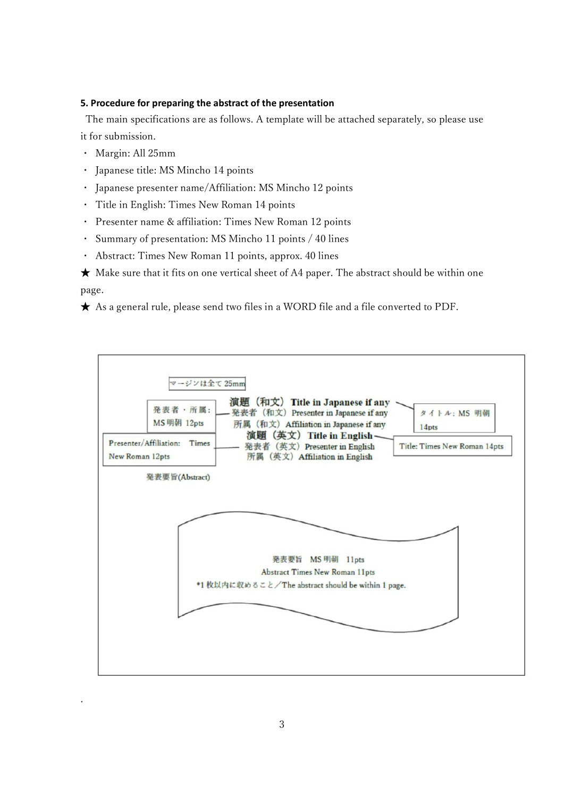### **5. Procedure for preparing the abstract of the presentation**

The main specifications are as follows. A template will be attached separately, so please use it for submission.

・ Margin: All 25mm

.

- ・ Japanese title: MS Mincho 14 points
- ・ Japanese presenter name/Affiliation: MS Mincho 12 points
- ・ Title in English: Times New Roman 14 points
- ・ Presenter name & affiliation: Times New Roman 12 points
- ・ Summary of presentation: MS Mincho 11 points / 40 lines
- ・ Abstract: Times New Roman 11 points, approx. 40 lines

 $\star$  Make sure that it fits on one vertical sheet of A4 paper. The abstract should be within one page.

★ As a general rule, please send two files in a WORD file and a file converted to PDF.